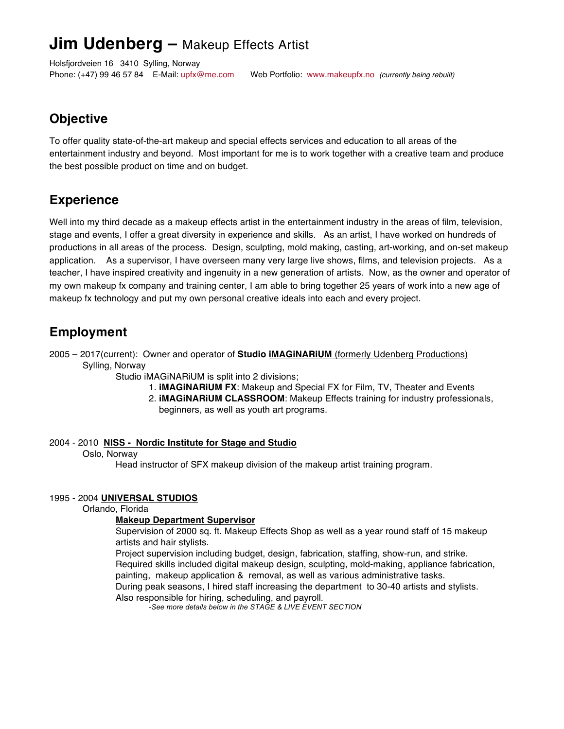# **Jim Udenberg –** Makeup Effects Artist

Holsfjordveien 16 3410 Sylling, Norway

Phone: (+47) 99 46 57 84 E-Mail: upfx@me.com Web Portfolio: www.makeupfx.no *(currently being rebuilt)*

### **Objective**

To offer quality state-of-the-art makeup and special effects services and education to all areas of the entertainment industry and beyond. Most important for me is to work together with a creative team and produce the best possible product on time and on budget.

## **Experience**

Well into my third decade as a makeup effects artist in the entertainment industry in the areas of film, television, stage and events, I offer a great diversity in experience and skills. As an artist, I have worked on hundreds of productions in all areas of the process. Design, sculpting, mold making, casting, art-working, and on-set makeup application. As a supervisor, I have overseen many very large live shows, films, and television projects. As a teacher, I have inspired creativity and ingenuity in a new generation of artists. Now, as the owner and operator of my own makeup fx company and training center, I am able to bring together 25 years of work into a new age of makeup fx technology and put my own personal creative ideals into each and every project.

## **Employment**

2005 – 2017(current): Owner and operator of **Studio iMAGiNARiUM** (formerly Udenberg Productions) Sylling, Norway

Studio iMAGiNARiUM is split into 2 divisions;

- 1. **iMAGiNARiUM FX**: Makeup and Special FX for Film, TV, Theater and Events
- 2. **iMAGiNARiUM CLASSROOM**: Makeup Effects training for industry professionals, beginners, as well as youth art programs.

### 2004 - 2010 **NISS - Nordic Institute for Stage and Studio**

#### Oslo, Norway

Head instructor of SFX makeup division of the makeup artist training program.

#### 1995 - 2004 **UNIVERSAL STUDIOS**

Orlando, Florida

#### **Makeup Department Supervisor**

Supervision of 2000 sq. ft. Makeup Effects Shop as well as a year round staff of 15 makeup artists and hair stylists.

Project supervision including budget, design, fabrication, staffing, show-run, and strike. Required skills included digital makeup design, sculpting, mold-making, appliance fabrication, painting, makeup application & removal, as well as various administrative tasks.

During peak seasons, I hired staff increasing the department to 30-40 artists and stylists. Also responsible for hiring, scheduling, and payroll.

*-See more details below in the STAGE & LIVE EVENT SECTION*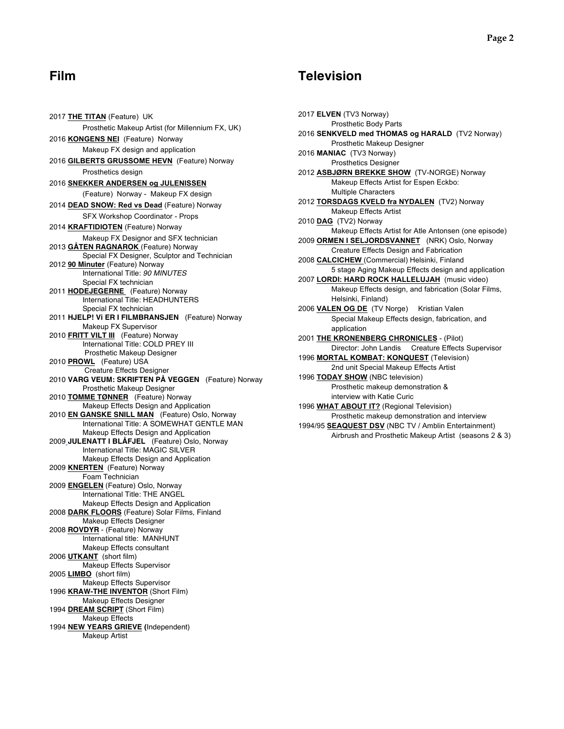2017 **THE TITAN** (Feature) UK Prosthetic Makeup Artist (for Millennium FX, UK) 2016 **KONGENS NEI** (Feature) Norway Makeup FX design and application 2016 **GILBERTS GRUSSOME HEVN** (Feature) Norway Prosthetics design 2016 **SNEKKER ANDERSEN og JULENISSEN** (Feature) Norway - Makeup FX design 2014 **DEAD SNOW: Red vs Dead** (Feature) Norway SFX Workshop Coordinator - Props 2014 **KRAFTIDIOTEN** (Feature) Norway Makeup FX Designor and SFX technician 2013 **GÅTEN RAGNAROK** (Feature) Norway Special FX Designer, Sculptor and Technician 2012 **90 Minuter** (Feature) Norway International Title: *90 MINUTES* Special FX technician 2011 **HODEJEGERNE** (Feature) Norway International Title: HEADHUNTERS Special FX technician 2011 **HJELP! Vi ER I FILMBRANSJEN** (Feature) Norway Makeup FX Supervisor 2010 **FRITT VILT III** (Feature) Norway International Title: COLD PREY III Prosthetic Makeup Designer 2010 **PROWL** (Feature) USA Creature Effects Designer 2010 **VARG VEUM: SKRIFTEN PÅ VEGGEN** (Feature) Norway Prosthetic Makeup Designer 2010 **TOMME TØNNER** (Feature) Norway Makeup Effects Design and Application 2010 **EN GANSKE SNILL MAN** (Feature) Oslo, Norway International Title: A SOMEWHAT GENTLE MAN Makeup Effects Design and Application 2009 **JULENATT I BLÅFJEL** (Feature) Oslo, Norway International Title: MAGIC SILVER Makeup Effects Design and Application 2009 **KNERTEN** (Feature) Norway Foam Technician 2009 **ENGELEN** (Feature) Oslo, Norway International Title: THE ANGEL Makeup Effects Design and Application 2008 **DARK FLOORS** (Feature) Solar Films, Finland Makeup Effects Designer 2008 **ROVDYR** - (Feature) Norway International title: MANHUNT Makeup Effects consultant 2006 **UTKANT** (short film) Makeup Effects Supervisor 2005 **LIMBO** (short film) Makeup Effects Supervisor 1996 **KRAW-THE INVENTOR** (Short Film) Makeup Effects Designer 1994 **DREAM SCRIPT** (Short Film) Makeup Effects 1994 **NEW YEARS GRIEVE (**Independent) Makeup Artist

### **Film Television**

2017 **ELVEN** (TV3 Norway) Prosthetic Body Parts 2016 **SENKVELD med THOMAS og HARALD** (TV2 Norway) Prosthetic Makeup Designer 2016 **MANIAC** (TV3 Norway) Prosthetics Designer 2012 **ASBJØRN BREKKE SHOW** (TV-NORGE) Norway Makeup Effects Artist for Espen Eckbo: Multiple Characters 2012 **TORSDAGS KVELD fra NYDALEN** (TV2) Norway Makeup Effects Artist 2010 **DAG** (TV2) Norway Makeup Effects Artist for Atle Antonsen (one episode) 2009 **ORMEN I SELJORDSVANNET** (NRK) Oslo, Norway Creature Effects Design and Fabrication 2008 **CALCICHEW** (Commercial) Helsinki, Finland 5 stage Aging Makeup Effects design and application 2007 **LORDI: HARD ROCK HALLELUJAH** (music video) Makeup Effects design, and fabrication (Solar Films, Helsinki, Finland) 2006 **VALEN OG DE** (TV Norge) Kristian Valen Special Makeup Effects design, fabrication, and application 2001 **THE KRONENBERG CHRONICLES** - (Pilot) Director: John Landis Creature Effects Supervisor 1996 **MORTAL KOMBAT: KONQUEST** (Television) 2nd unit Special Makeup Effects Artist 1996 **TODAY SHOW** (NBC television) Prosthetic makeup demonstration & interview with Katie Curic 1996 **WHAT ABOUT IT?** (Regional Television) Prosthetic makeup demonstration and interview 1994/95 **SEAQUEST DSV** (NBC TV / Amblin Entertainment) Airbrush and Prosthetic Makeup Artist (seasons 2 & 3)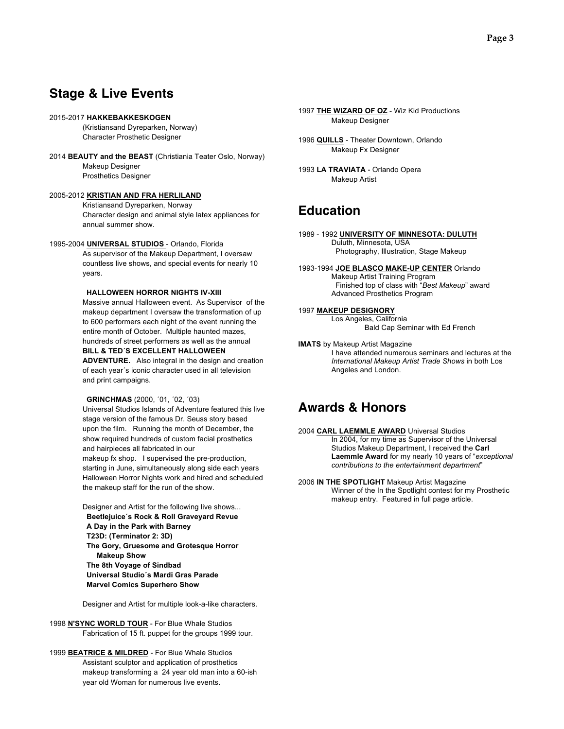### **Stage & Live Events**

#### 2015-2017 **HAKKEBAKKESKOGEN**

(Kristiansand Dyreparken, Norway) Character Prosthetic Designer

2014 **BEAUTY and the BEAST** (Christiania Teater Oslo, Norway) Makeup Designer Prosthetics Designer

#### 2005-2012 **KRISTIAN AND FRA HERLILAND**

Kristiansand Dyreparken, Norway Character design and animal style latex appliances for annual summer show.

#### 1995-2004 **UNIVERSAL STUDIOS** - Orlando, Florida

As supervisor of the Makeup Department, I oversaw countless live shows, and special events for nearly 10 years.

#### **HALLOWEEN HORROR NIGHTS IV-XIII**

Massive annual Halloween event. As Supervisor of the makeup department I oversaw the transformation of up to 600 performers each night of the event running the entire month of October. Multiple haunted mazes, hundreds of street performers as well as the annual **BILL & TED´S EXCELLENT HALLOWEEN** 

**ADVENTURE.** Also integral in the design and creation of each year´s iconic character used in all television and print campaigns.

#### **GRINCHMAS** (2000, ´01, ´02, ´03)

Universal Studios Islands of Adventure featured this live stage version of the famous Dr. Seuss story based upon the film. Running the month of December, the show required hundreds of custom facial prosthetics and hairpieces all fabricated in our makeup fx shop. I supervised the pre-production, starting in June, simultaneously along side each years Halloween Horror Nights work and hired and scheduled the makeup staff for the run of the show.

Designer and Artist for the following live shows... **Beetlejuice´s Rock & Roll Graveyard Revue A Day in the Park with Barney T23D: (Terminator 2: 3D) The Gory, Gruesome and Grotesque Horror Makeup Show The 8th Voyage of Sindbad Universal Studio´s Mardi Gras Parade Marvel Comics Superhero Show**

Designer and Artist for multiple look-a-like characters.

1998 **N'SYNC WORLD TOUR** - For Blue Whale Studios Fabrication of 15 ft. puppet for the groups 1999 tour.

1999 **BEATRICE & MILDRED** - For Blue Whale Studios Assistant sculptor and application of prosthetics makeup transforming a 24 year old man into a 60-ish year old Woman for numerous live events.

1997 **THE WIZARD OF OZ** - Wiz Kid Productions Makeup Designer

- 1996 **QUILLS** Theater Downtown, Orlando Makeup Fx Designer
- 1993 **LA TRAVIATA** Orlando Opera Makeup Artist

### **Education**

- 1989 1992 **UNIVERSITY OF MINNESOTA: DULUTH** Duluth, Minnesota, USA Photography, Illustration, Stage Makeup
- 1993-1994 **JOE BLASCO MAKE-UP CENTER** Orlando Makeup Artist Training Program Finished top of class with "*Best Makeup*" award Advanced Prosthetics Program
- 1997 **MAKEUP DESIGNORY**

Los Angeles, California Bald Cap Seminar with Ed French

**IMATS** by Makeup Artist Magazine I have attended numerous seminars and lectures at the *International Makeup Artist Trade Shows* in both Los Angeles and London.

### **Awards & Honors**

- 2004 **CARL LAEMMLE AWARD** Universal Studios In 2004, for my time as Supervisor of the Universal Studios Makeup Department, I received the **Carl Laemmle Award** for my nearly 10 years of "*exceptional contributions to the entertainment department*"
- 2006 **IN THE SPOTLIGHT** Makeup Artist Magazine Winner of the In the Spotlight contest for my Prosthetic makeup entry. Featured in full page article.